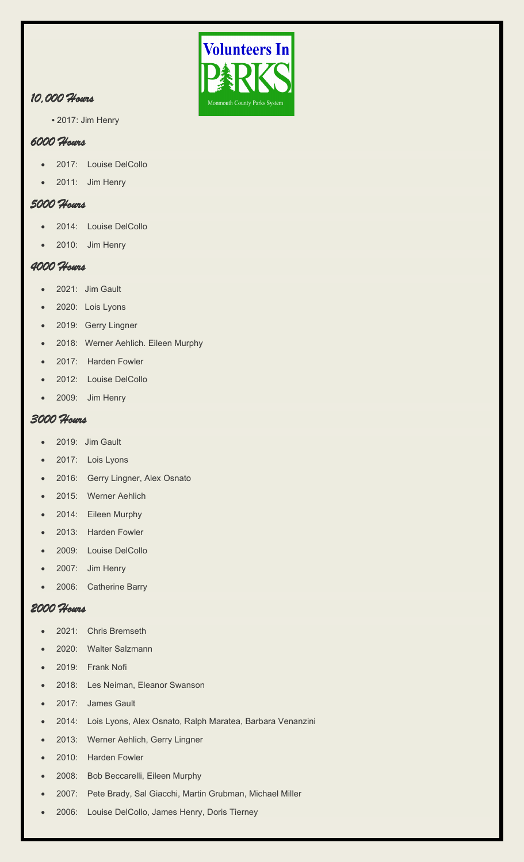

# *10,000 Hours*

**•** 2017: Jim Henry

### *6000 Hours*

- 2017: Louise DelCollo
- 2011: Jim Henry

# *5000 Hours*

- 2014: Louise DelCollo
- 2010: Jim Henry

## *4000 Hours*

- 2021: Jim Gault
- 2020: Lois Lyons
- 2019: Gerry Lingner
- 2018: Werner Aehlich. Eileen Murphy
- 2017: Harden Fowler
- 2012: Louise DelCollo
- 2009: Jim Henry

### *3000 Hours*

- 2019: Jim Gault
- 2017: Lois Lyons
- 2016: Gerry Lingner, Alex Osnato
- 2015: Werner Aehlich
- 2014: Eileen Murphy
- 2013: Harden Fowler
- 2009: Louise DelCollo
- 2007: Jim Henry
- 2006: Catherine Barry

#### *2000 Hours*

- 2021: Chris Bremseth
- 2020: Walter Salzmann
- 2019: Frank Nofi
- 2018: Les Neiman, Eleanor Swanson
- 2017: James Gault
- 2014: Lois Lyons, Alex Osnato, Ralph Maratea, Barbara Venanzini
- 2013: Werner Aehlich, Gerry Lingner
- 2010: Harden Fowler
- 2008: Bob Beccarelli, Eileen Murphy
- 2007: Pete Brady, Sal Giacchi, Martin Grubman, Michael Miller
- 2006: Louise DelCollo, James Henry, Doris Tierney